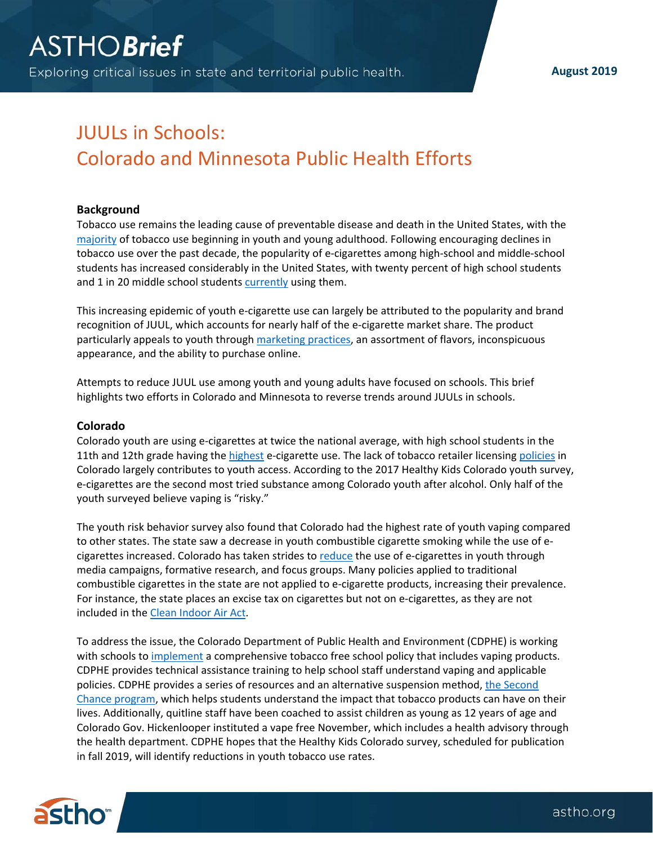**August 2019**

# JUULs in Schools: Colorado and Minnesota Public Health Efforts

### **Background**

Tobacco use remains the leading cause of preventable disease and death in the United States, with the [majority](https://e-cigarettes.surgeongeneral.gov/documents/2016_SGR_Full_Report_non-508.pdf) of tobacco use beginning in youth and young adulthood. Following encouraging declines in tobacco use over the past decade, the popularity of e-cigarettes among high-school and middle-school students has increased considerably in the United States, with twenty percent of high school students and 1 in 20 middle school students [currently](http://dx.doi.org/10.15585/mmwr.mm6745a5) using them.

This increasing epidemic of youth e-cigarette use can largely be attributed to the popularity and brand recognition of JUUL, which accounts for nearly half of the e-cigarette market share. The product particularly appeals to youth through [marketing practices,](https://truthinitiative.org/research-resources/emerging-tobacco-products/how-are-schools-responding-juul-and-youth-e-cigarette?utm_campaign=10248b95c5-Newsletter_155_2019_06_20&utm_medium=email&utm_source=Truth%20Initiative%20Mailing%20List&utm_term=0_c91fd8a5c5-10248b95c5-70901993) an assortment of flavors, inconspicuous appearance, and the ability to purchase online.

Attempts to reduce JUUL use among youth and young adults have focused on schools. This brief highlights two efforts in Colorado and Minnesota to reverse trends around JUULs in schools.

#### **Colorado**

Colorado youth are using e-cigarettes at twice the national average, with high school students in the 11th and 12th grade having the [highest](https://public.tableau.com/shared/YT2CBMM24?:display_count=yes&:showVizHome=no) e-cigarette use. The lack of tobacco retailer licensing [policies](https://www.tobaccofreeco.org/protect-coloradans/retailer-licensing/) in Colorado largely contributes to youth access. According to the 2017 Healthy Kids Colorado youth survey, e-cigarettes are the second most tried substance among Colorado youth after alcohol. Only half of the youth surveyed believe vaping is "risky."

The youth risk behavior survey also found that Colorado had the highest rate of youth vaping compared to other states. The state saw a decrease in youth combustible cigarette smoking while the use of ecigarettes increased. Colorado has taken strides to [reduce](https://www.tobaccofreeco.org/know-the-facts/) the use of e-cigarettes in youth through media campaigns, formative research, and focus groups. Many policies applied to traditional combustible cigarettes in the state are not applied to e-cigarette products, increasing their prevalence. For instance, the state places an excise tax on cigarettes but not on e-cigarettes, as they are not included in the [Clean Indoor Air Act.](https://www.colorado.gov/pacific/sites/default/files/Clean%20Indoor%20Air%20Act_0.pdf)

To address the issue, the Colorado Department of Public Health and Environment (CDPHE) is working with schools to [implement](https://docs.google.com/document/d/1Vfo3hVzpfX8k7gXyyhlcyx_no0lUXdOmnsD26A7Aabs/edit) a comprehensive tobacco free school policy that includes vaping products. CDPHE provides technical assistance training to help school staff understand vaping and applicable policies. CDPHE provides a series of resources and an alternative suspension method, [the Second](https://www.rmc.org/what-we-do/substance-abuse-prevention-education/second-chance/)  [Chance program,](https://www.rmc.org/what-we-do/substance-abuse-prevention-education/second-chance/) which helps students understand the impact that tobacco products can have on their lives. Additionally, quitline staff have been coached to assist children as young as 12 years of age and Colorado Gov. Hickenlooper instituted a vape free November, which includes a health advisory through the health department. CDPHE hopes that the Healthy Kids Colorado survey, scheduled for publication in fall 2019, will identify reductions in youth tobacco use rates.